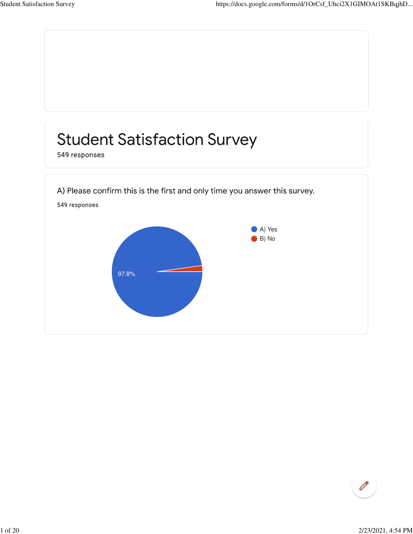

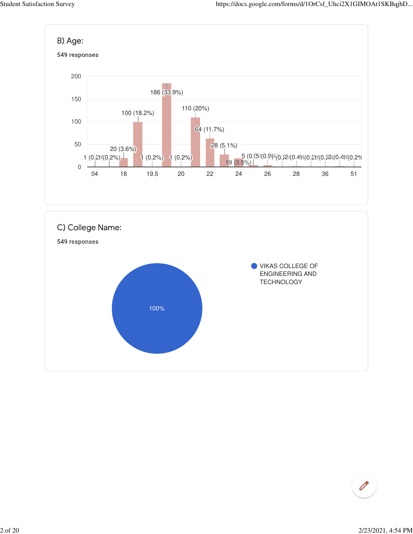

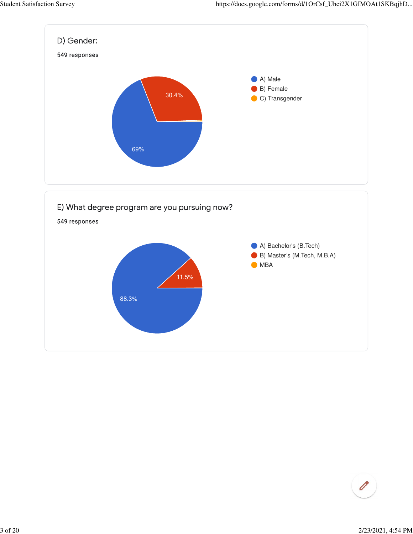

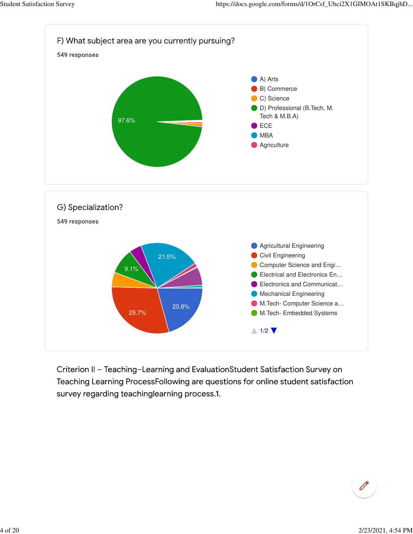

Criterion II - Teaching-Learning and EvaluationStudent Satisfaction Survey on Teaching Learning ProcessFollowing are questions for online student satisfaction survey regarding teachinglearning process.1.

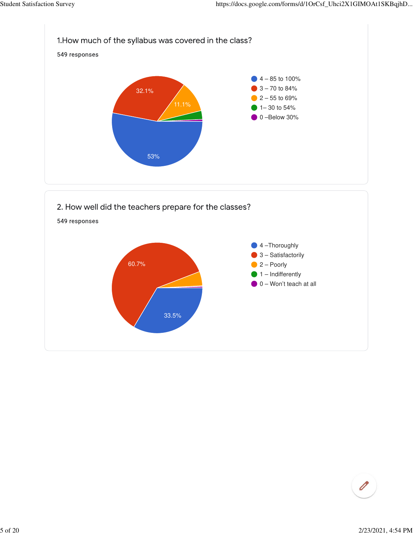

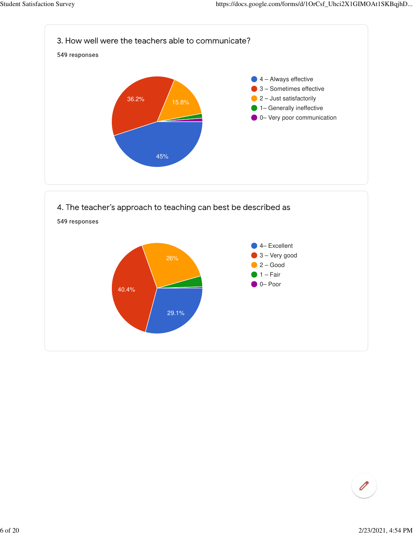

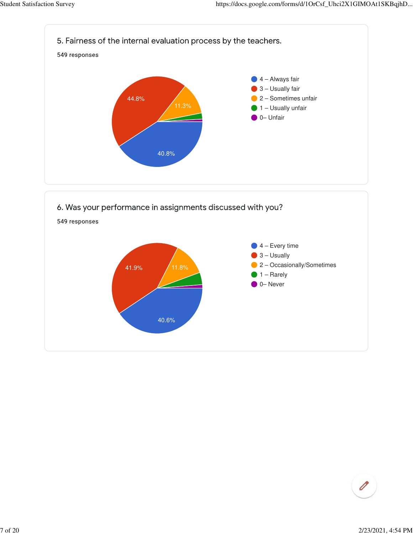

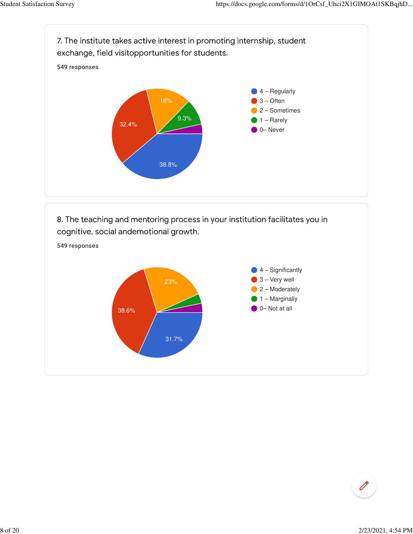

8. The teaching and mentoring process in your institution facilitates you in cognitive, social andemotional growth.



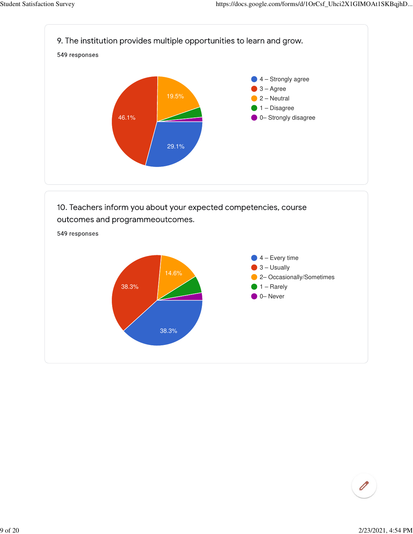

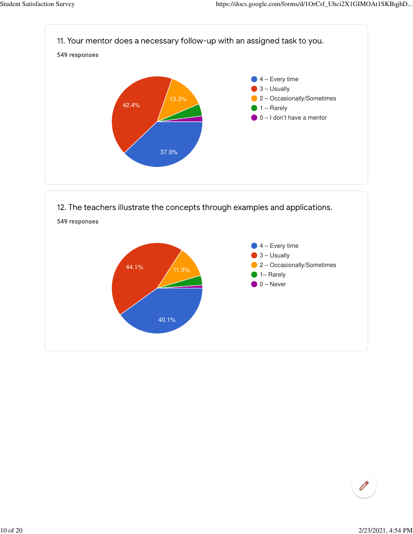

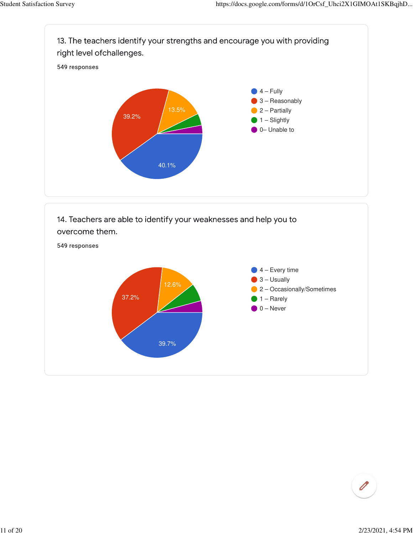



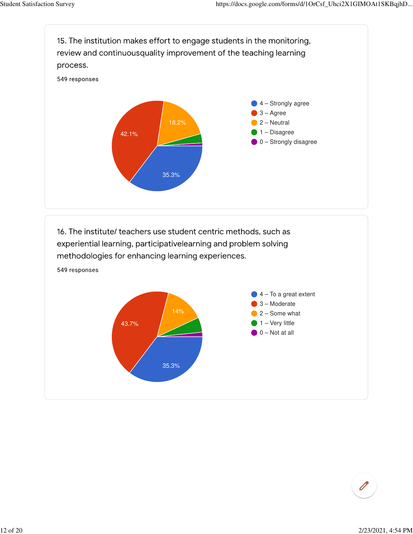

16. The institute/ teachers use student centric methods, such as experiential learning, participativelearning and problem solving methodologies for enhancing learning experiences.

549 responses



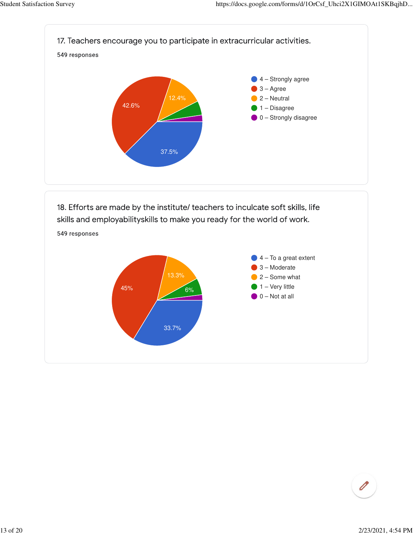

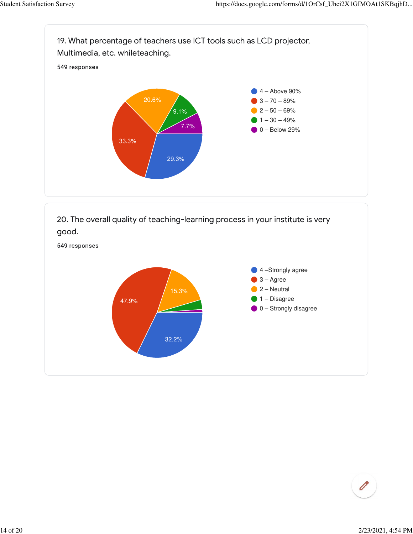

20. The overall quality of teaching-learning process in your institute is very good.



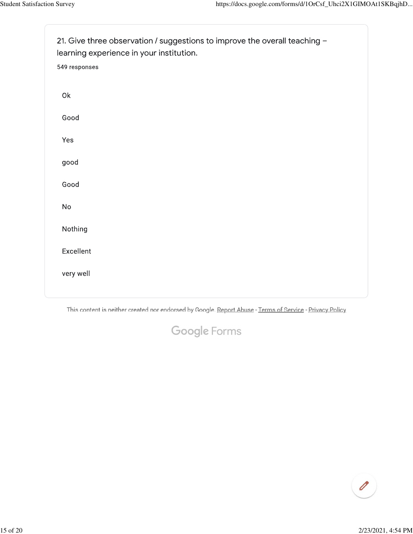| 21. Give three observation / suggestions to improve the overall teaching -<br>learning experience in your institution. |
|------------------------------------------------------------------------------------------------------------------------|
| 549 responses                                                                                                          |
| 0k                                                                                                                     |
| Good                                                                                                                   |
| Yes                                                                                                                    |
| good                                                                                                                   |
| Good                                                                                                                   |
| $\mathsf{No}$                                                                                                          |
| Nothing                                                                                                                |
| Excellent                                                                                                              |
| very well                                                                                                              |
|                                                                                                                        |

This content is neither created nor endorsed by Google. Report Abuse - Terms of Service - Privacy Policy



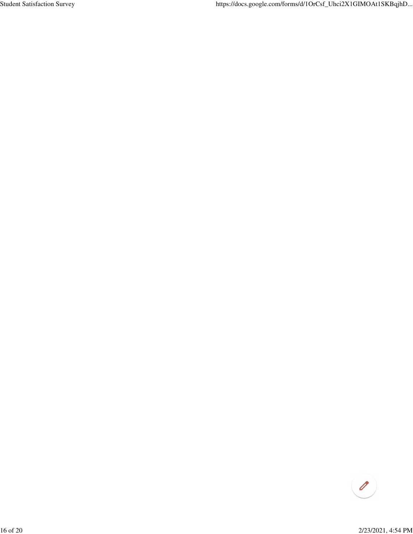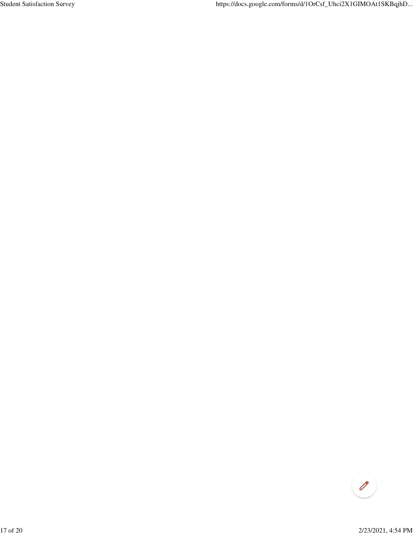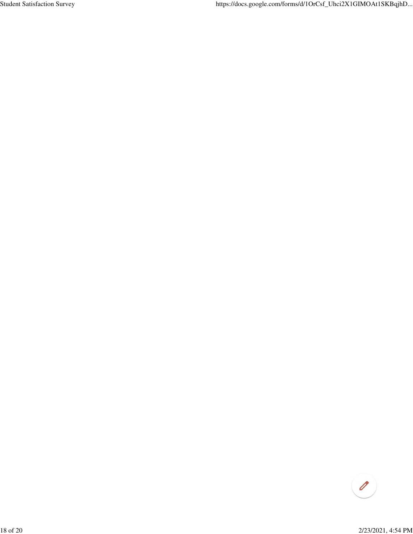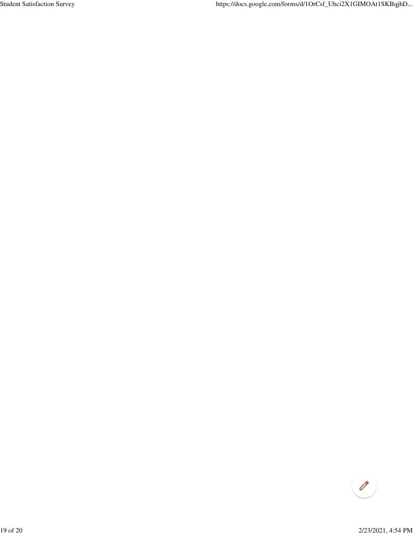